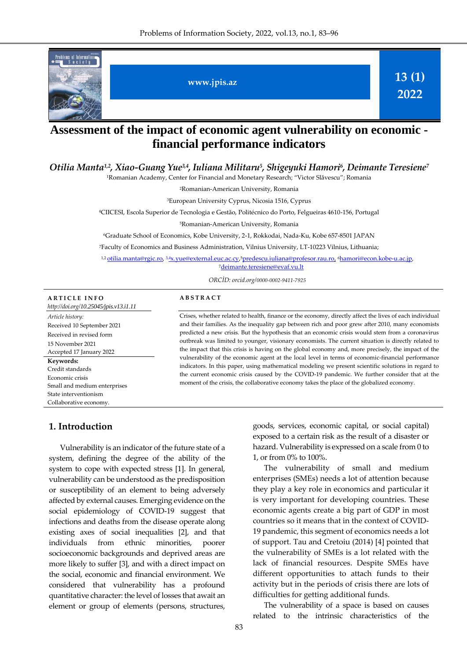

# **Assessment of the impact of economic agent vulnerability on economic financial performance indicators**

*Otilia Manta1,2, Xiao-Guang Yue3,4, Iuliana Militaru<sup>5</sup> , Shigeyuki Hamori<sup>6</sup> , Deimante Teresiene<sup>7</sup>*

<sup>1</sup>Romanian Academy, Center for Financial and Monetary Research; "Victor Slăvescu"; Romania

<sup>2</sup>Romanian-American University, Romania

<sup>3</sup>European University Cyprus, Nicosia 1516, Cyprus

<sup>4</sup>CIICESI, Escola Superior de Tecnologia e Gestão, Politécnico do Porto, Felgueiras 4610-156, Portugal

<sup>5</sup>Romanian-American University, Romania

<sup>6</sup>Graduate School of Economics, Kobe University, 2-1, Rokkodai, Nada-Ku, Kobe 657-8501 JAPAN

<sup>7</sup>Faculty of Economics and Business Administration, Vilnius University, LT-10223 Vilnius, Lithuania;

<sup>1,2</sup> <u>otilia.manta@rgic.ro</u>, <sup>3,4</sup>[x.yue@external.euc.ac.cy,](mailto:3,4x.yue@external.euc.ac.cy)<sup>5</sup>[predescu.iuliana@profesor.rau.ro,](mailto:5predescu.iuliana@profesor.rau.ro) <sup>6</sup>[hamori@econ.kobe-u.ac.jp,](mailto:6hamori@econ.kobe-u.ac.jp) <sup>7</sup>[deimante.teresiene@evaf.vu.lt](mailto:deimante.teresiene@evaf.vu.lt)

*ORCİD: orcid.org/0000-0002-9411-7925*

#### **A R T I C L E I N F O**

*http://doi.org/10.25045/jpis.v13.i1.11 Article history:*  Received 10 September 2021 Received in revised form 15 November 2021 Accepted 17 January 2022 **Keywords:**  Credit standards Economic crisis Small and medium enterprises State interventionism Collaborative economy.

#### **A B S T R A C T**

Crises, whether related to health, finance or the economy, directly affect the lives of each individual and their families. As the inequality gap between rich and poor grew after 2010, many economists predicted a new crisis. But the hypothesis that an economic crisis would stem from a coronavirus outbreak was limited to younger, visionary economists. The current situation is directly related to the impact that this crisis is having on the global economy and, more precisely, the impact of the vulnerability of the economic agent at the local level in terms of economic-financial performance indicators. In this paper, using mathematical modeling we present scientific solutions in regard to the current economic crisis caused by the COVID-19 pandemic. We further consider that at the moment of the crisis, the collaborative economy takes the place of the globalized economy.

## **1. Introduction**

Vulnerability is an indicator of the future state of a system, defining the degree of the ability of the system to cope with expected stress [1]. In general, vulnerability can be understood as the predisposition or susceptibility of an element to being adversely affected by external causes. Emerging evidence on the social epidemiology of COVID-19 suggest that infections and deaths from the disease operate along existing axes of social inequalities [2], and that individuals from ethnic minorities, poorer socioeconomic backgrounds and deprived areas are more likely to suffer [3], and with a direct impact on the social, economic and financial environment. We considered that vulnerability has a profound quantitative character: the level of losses that await an element or group of elements (persons, structures,

goods, services, economic capital, or social capital) exposed to a certain risk as the result of a disaster or hazard. Vulnerability is expressed on a scale from 0 to 1, or from 0% to 100%.

The vulnerability of small and medium enterprises (SMEs) needs a lot of attention because they play a key role in economics and particular it is very important for developing countries. These economic agents create a big part of GDP in most countries so it means that in the context of COVID-19 pandemic, this segment of economics needs a lot of support. Tau and Cretoiu (2014) [4] pointed that the vulnerability of SMEs is a lot related with the lack of financial resources. Despite SMEs have different opportunities to attach funds to their activity but in the periods of crisis there are lots of difficulties for getting additional funds.

The vulnerability of a space is based on causes related to the intrinsic characteristics of the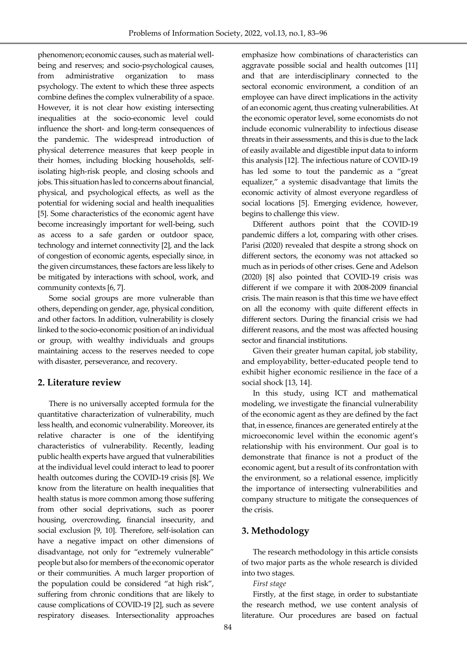phenomenon; economic causes, such as material wellbeing and reserves; and socio-psychological causes, from administrative organization to mass psychology. The extent to which these three aspects combine defines the complex vulnerability of a space. However, it is not clear how existing intersecting inequalities at the socio-economic level could influence the short- and long-term consequences of the pandemic. The widespread introduction of physical deterrence measures that keep people in their homes, including blocking households, selfisolating high-risk people, and closing schools and jobs. This situation has led to concerns about financial, physical, and psychological effects, as well as the potential for widening social and health inequalities [5]. Some characteristics of the economic agent have become increasingly important for well-being, such as access to a safe garden or outdoor space, technology and internet connectivity [2], and the lack of congestion of economic agents, especially since, in the given circumstances, these factors are less likely to be mitigated by interactions with school, work, and community contexts [6, 7].

Some social groups are more vulnerable than others, depending on gender, age, physical condition, and other factors. In addition, vulnerability is closely linked to the socio-economic position of an individual or group, with wealthy individuals and groups maintaining access to the reserves needed to cope with disaster, perseverance, and recovery.

#### **2. Literature review**

There is no universally accepted formula for the quantitative characterization of vulnerability, much less health, and economic vulnerability. Moreover, its relative character is one of the identifying characteristics of vulnerability. Recently, leading public health experts have argued that vulnerabilities at the individual level could interact to lead to poorer health outcomes during the COVID-19 crisis [8]. We know from the literature on health inequalities that health status is more common among those suffering from other social deprivations, such as poorer housing, overcrowding, financial insecurity, and social exclusion [9, 10]. Therefore, self-isolation can have a negative impact on other dimensions of disadvantage, not only for "extremely vulnerable" people but also for members of the economic operator or their communities. A much larger proportion of the population could be considered "at high risk", suffering from chronic conditions that are likely to cause complications of COVID-19 [2], such as severe respiratory diseases. Intersectionality approaches

emphasize how combinations of characteristics can aggravate possible social and health outcomes [11] and that are interdisciplinary connected to the sectoral economic environment, a condition of an employee can have direct implications in the activity of an economic agent, thus creating vulnerabilities. At the economic operator level, some economists do not include economic vulnerability to infectious disease threats in their assessments, and this is due to the lack of easily available and digestible input data to inform this analysis [12]. The infectious nature of COVID-19 has led some to tout the pandemic as a "great equalizer," a systemic disadvantage that limits the economic activity of almost everyone regardless of social locations [5]. Emerging evidence, however, begins to challenge this view.

Different authors point that the COVID-19 pandemic differs a lot, comparing with other crises. Parisi (2020) revealed that despite a strong shock on different sectors, the economy was not attacked so much as in periods of other crises. Gene and Adelson (2020) [8] also pointed that COVID-19 crisis was different if we compare it with 2008-2009 financial crisis. The main reason is that this time we have effect on all the economy with quite different effects in different sectors. During the financial crisis we had different reasons, and the most was affected housing sector and financial institutions.

Given their greater human capital, job stability, and employability, better-educated people tend to exhibit higher economic resilience in the face of a social shock [13, 14].

In this study, using ICT and mathematical modeling, we investigate the financial vulnerability of the economic agent as they are defined by the fact that, in essence, finances are generated entirely at the microeconomic level within the economic agent's relationship with his environment. Our goal is to demonstrate that finance is not a product of the economic agent, but a result of its confrontation with the environment, so a relational essence, implicitly the importance of intersecting vulnerabilities and company structure to mitigate the consequences of the crisis.

# **3. Methodology**

The research methodology in this article consists of two major parts as the whole research is divided into two stages.

*First stage*

Firstly, at the first stage, in order to substantiate the research method, we use content analysis of literature. Our procedures are based on factual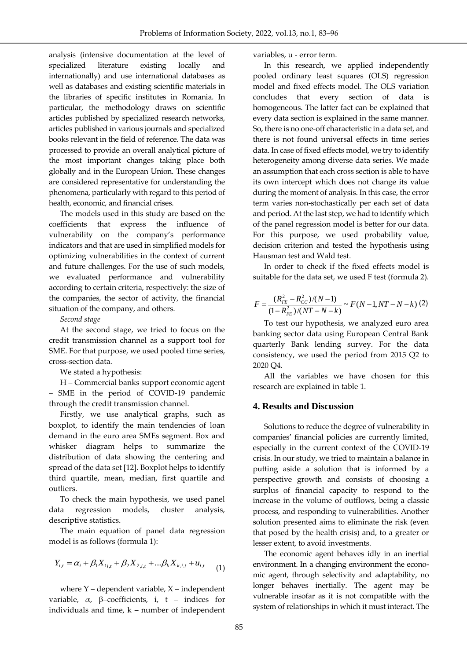analysis (intensive documentation at the level of specialized literature existing locally and internationally) and use international databases as well as databases and existing scientific materials in the libraries of specific institutes in Romania. In particular, the methodology draws on scientific articles published by specialized research networks, articles published in various journals and specialized books relevant in the field of reference. The data was processed to provide an overall analytical picture of the most important changes taking place both globally and in the European Union. These changes are considered representative for understanding the phenomena, particularly with regard to this period of health, economic, and financial crises.

The models used in this study are based on the coefficients that express the influence of vulnerability on the company's performance indicators and that are used in simplified models for optimizing vulnerabilities in the context of current and future challenges. For the use of such models, we evaluated performance and vulnerability according to certain criteria, respectively: the size of the companies, the sector of activity, the financial situation of the company, and others.

*Second stage*

At the second stage, we tried to focus on the credit transmission channel as a support tool for SME. For that purpose, we used pooled time series, cross-section data.

We stated a hypothesis:

H – Commercial banks support economic agent – SME in the period of COVID-19 pandemic through the credit transmission channel.

Firstly, we use analytical graphs, such as boxplot, to identify the main tendencies of loan demand in the euro area SMEs segment. Box and whisker diagram helps to summarize the distribution of data showing the centering and spread of the data set [12]. Boxplot helps to identify third quartile, mean, median, first quartile and outliers.

To check the main hypothesis, we used panel data regression models, cluster analysis, descriptive statistics.

The main equation of panel data regression model is as follows (formula 1):

$$
Y_{i,t} = \alpha_i + \beta_1 X_{1i,t} + \beta_2 X_{2,i,t} + \dots \beta_k X_{k,i,t} + u_{i,t}
$$
 (1)

where Y – dependent variable, X – independent variable,  $\alpha$ , β–coefficients, i, t – indices for individuals and time, k – number of independent variables, u - error term.

In this research, we applied independently pooled ordinary least squares (OLS) regression model and fixed effects model. The OLS variation concludes that every section of data is homogeneous. The latter fact can be explained that every data section is explained in the same manner. So, there is no one-off characteristic in a data set, and there is not found universal effects in time series data. In case of fixed effects model, we try to identify heterogeneity among diverse data series. We made an assumption that each cross section is able to have its own intercept which does not change its value during the moment of analysis. In this case, the error term varies non-stochastically per each set of data and period. At the last step, we had to identify which of the panel regression model is better for our data. For this purpose, we used probability value, decision criterion and tested the hypothesis using Hausman test and Wald test.

In order to check if the fixed effects model is suitable for the data set, we used F test (formula 2).

$$
F = \frac{(R_{FE}^2 - R_{CC}^2)/(N-1)}{(1 - R_{FE}^2)/(NT - N - k)} \sim F(N-1, NT - N - k)
$$
 (2)

To test our hypothesis, we analyzed euro area banking sector data using European Central Bank quarterly Bank lending survey. For the data consistency, we used the period from 2015 Q2 to 2020 Q4.

All the variables we have chosen for this research are explained in table 1.

# **4. Results and Discussion**

Solutions to reduce the degree of vulnerability in companies' financial policies are currently limited, especially in the current context of the COVID-19 crisis. In our study, we tried to maintain a balance in putting aside a solution that is informed by a perspective growth and consists of choosing a surplus of financial capacity to respond to the increase in the volume of outflows, being a classic process, and responding to vulnerabilities. Another solution presented aims to eliminate the risk (even that posed by the health crisis) and, to a greater or lesser extent, to avoid investments.

The economic agent behaves idly in an inertial environment. In a changing environment the economic agent, through selectivity and adaptability, no longer behaves inertially. The agent may be vulnerable insofar as it is not compatible with the system of relationships in which it must interact. The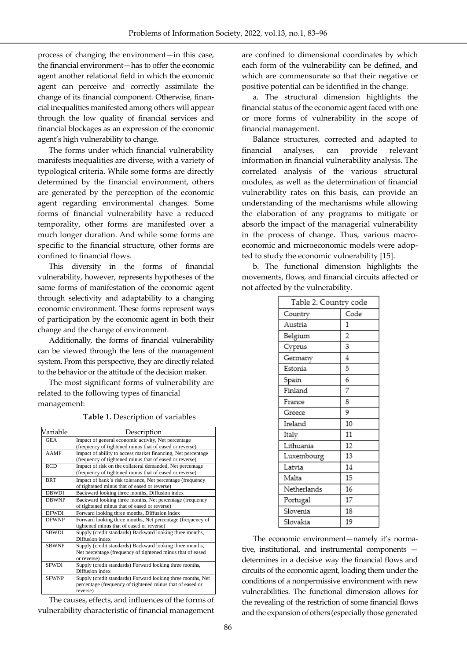process of changing the environment—in this case, the financial environment—has to offer the economic agent another relational field in which the economic agent can perceive and correctly assimilate the change of its financial component. Otherwise, financial inequalities manifested among others will appear through the low quality of financial services and financial blockages as an expression of the economic agent's high vulnerability to change.

The forms under which financial vulnerability manifests inequalities are diverse, with a variety of typological criteria. While some forms are directly determined by the financial environment, others are generated by the perception of the economic agent regarding environmental changes. Some forms of financial vulnerability have a reduced temporality, other forms are manifested over a much longer duration. And while some forms are specific to the financial structure, other forms are confined to financial flows.

This diversity in the forms of financial vulnerability, however, represents hypotheses of the same forms of manifestation of the economic agent through selectivity and adaptability to a changing economic environment. These forms represent ways of participation by the economic agent in both their change and the change of environment.

Additionally, the forms of financial vulnerability can be viewed through the lens of the management system. From this perspective, they are directly related to the behavior or the attitude of the decision maker.

The most significant forms of vulnerability are related to the following types of financial management:

| Variable     | Description                                                                                                                           |
|--------------|---------------------------------------------------------------------------------------------------------------------------------------|
| <b>GEA</b>   | Impact of general economic activity, Net percentage<br>(frequency of tightened minus that of eased or reverse)                        |
| <b>AAMF</b>  | Impact of ability to access market financing, Net percentage<br>(frequency of tightened minus that of eased or reverse)               |
| <b>RCD</b>   | Impact of risk on the collateral demanded, Net percentage<br>(frequency of tightened minus that of eased or reverse)                  |
| <b>BRT</b>   | Impact of bank's risk tolerance, Net percentage (frequency<br>of tightened minus that of eased or reverse)                            |
| <b>DBWDI</b> | Backward looking three months, Diffusion index                                                                                        |
| <b>DBWNP</b> | Backward looking three months, Net percentage (frequency<br>of tightened minus that of eased or reverse)                              |
| <b>DFWDI</b> | Forward looking three months, Diffusion index                                                                                         |
| <b>DFWNP</b> | Forward looking three months, Net percentage (frequency of<br>tightened minus that of eased or reverse)                               |
| <b>SBWDI</b> | Supply (credit standards) Backward looking three months,<br>Diffusion index                                                           |
| <b>SBWNP</b> | Supply (credit standards) Backward looking three months,<br>Net percentage (frequency of tightened minus that of eased<br>or reverse) |
| <b>SFWDI</b> | Supply (credit standards) Forward looking three months,<br>Diffusion index                                                            |
| <b>SFWNP</b> | Supply (credit standards) Forward looking three months, Net<br>percentage (frequency of tightened minus that of eased or<br>reverse)  |

**Table 1.** Description of variables

The causes, effects, and influences of the forms of vulnerability characteristic of financial management

are confined to dimensional coordinates by which each form of the vulnerability can be defined, and which are commensurate so that their negative or positive potential can be identified in the change.

a. The structural dimension highlights the financial status of the economic agent faced with one or more forms of vulnerability in the scope of financial management.

Balance structures, corrected and adapted to financial analyses, can provide relevant information in financial vulnerability analysis. The correlated analysis of the various structural modules, as well as the determination of financial vulnerability rates on this basis, can provide an understanding of the mechanisms while allowing the elaboration of any programs to mitigate or absorb the impact of the managerial vulnerability in the process of change. Thus, various macroeconomic and microeconomic models were adopted to study the economic vulnerability [15].

b. The functional dimension highlights the movements, flows, and financial circuits affected or not affected by the vulnerability.

| Table 2. Country code |                |  |  |
|-----------------------|----------------|--|--|
| Country               | Code           |  |  |
| Austria               | 1              |  |  |
| Belgium               | $\overline{2}$ |  |  |
| Cyprus                | 3              |  |  |
| Germany               | 4              |  |  |
| Estonia               | 5              |  |  |
| Spain                 | 6              |  |  |
| Finland               | 7              |  |  |
| France                | 8              |  |  |
| Greece                | 9              |  |  |
| Ireland               | 10             |  |  |
| Italy                 | 11             |  |  |
| Lithuania             | 12             |  |  |
| Luxembourg            | 13             |  |  |
| Latvia                | 14             |  |  |
| Malta                 | 15             |  |  |
| Netherlands           | 16             |  |  |
| Portugal              | 17             |  |  |
| Slovenia              | 18             |  |  |
| Slovakia              | 19             |  |  |

The economic environment—namely it's normative, institutional, and instrumental components determines in a decisive way the financial flows and circuits of the economic agent, loading them under the conditions of a nonpermissive environment with new vulnerabilities. The functional dimension allows for the revealing of the restriction of some financial flows and the expansion of others (especially those generated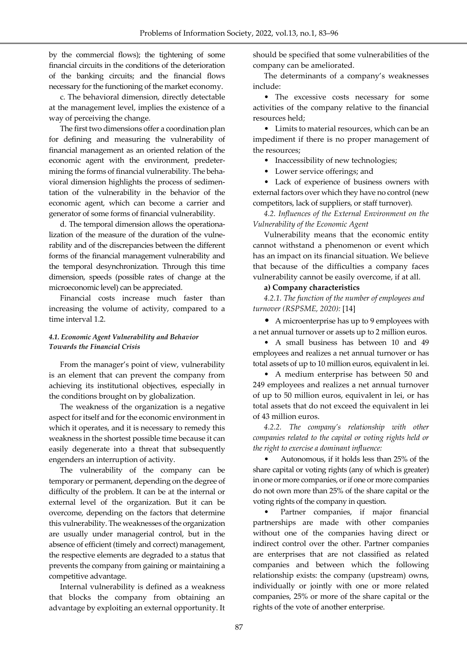by the commercial flows); the tightening of some financial circuits in the conditions of the deterioration of the banking circuits; and the financial flows necessary for the functioning of the market economy.

c. The behavioral dimension, directly detectable at the management level, implies the existence of a way of perceiving the change.

The first two dimensions offer a coordination plan for defining and measuring the vulnerability of financial management as an oriented relation of the economic agent with the environment, predetermining the forms of financial vulnerability. The behavioral dimension highlights the process of sedimentation of the vulnerability in the behavior of the economic agent, which can become a carrier and generator of some forms of financial vulnerability.

d. The temporal dimension allows the operationalization of the measure of the duration of the vulnerability and of the discrepancies between the different forms of the financial management vulnerability and the temporal desynchronization. Through this time dimension, speeds (possible rates of change at the microeconomic level) can be appreciated.

Financial costs increase much faster than increasing the volume of activity, compared to a time interval 1.2.

#### *4.1. Economic Agent Vulnerability and Behavior Towards the Financial Crisis*

From the manager's point of view, vulnerability is an element that can prevent the company from achieving its institutional objectives, especially in the conditions brought on by globalization.

The weakness of the organization is a negative aspect for itself and for the economic environment in which it operates, and it is necessary to remedy this weakness in the shortest possible time because it can easily degenerate into a threat that subsequently engenders an interruption of activity.

The vulnerability of the company can be temporary or permanent, depending on the degree of difficulty of the problem. It can be at the internal or external level of the organization. But it can be overcome, depending on the factors that determine this vulnerability. The weaknesses of the organization are usually under managerial control, but in the absence of efficient (timely and correct) management, the respective elements are degraded to a status that prevents the company from gaining or maintaining a competitive advantage.

Internal vulnerability is defined as a weakness that blocks the company from obtaining an advantage by exploiting an external opportunity. It should be specified that some vulnerabilities of the company can be ameliorated.

The determinants of a company's weaknesses include:

• The excessive costs necessary for some activities of the company relative to the financial resources held;

• Limits to material resources, which can be an impediment if there is no proper management of the resources;

• Inaccessibility of new technologies;

• Lower service offerings; and

• Lack of experience of business owners with external factors over which they have no control (new competitors, lack of suppliers, or staff turnover).

*4.2. Influences of the External Environment on the Vulnerability of the Economic Agent*

Vulnerability means that the economic entity cannot withstand a phenomenon or event which has an impact on its financial situation. We believe that because of the difficulties a company faces vulnerability cannot be easily overcome, if at all.

#### **a) Company characteristics**

*4.2.1. The function of the number of employees and turnover (RSPSME, 2020):* [14]

• A microenterprise has up to 9 employees with a net annual turnover or assets up to 2 million euros.

• A small business has between 10 and 49 employees and realizes a net annual turnover or has total assets of up to 10 million euros, equivalent in lei.

• A medium enterprise has between 50 and 249 employees and realizes a net annual turnover of up to 50 million euros, equivalent in lei, or has total assets that do not exceed the equivalent in lei of 43 million euros.

*4.2.2. The company's relationship with other companies related to the capital or voting rights held or the right to exercise a dominant influence:*

• Autonomous, if it holds less than 25% of the share capital or voting rights (any of which is greater) in one or more companies, or if one or more companies do not own more than 25% of the share capital or the voting rights of the company in question.

Partner companies, if major financial partnerships are made with other companies without one of the companies having direct or indirect control over the other. Partner companies are enterprises that are not classified as related companies and between which the following relationship exists: the company (upstream) owns, individually or jointly with one or more related companies, 25% or more of the share capital or the rights of the vote of another enterprise.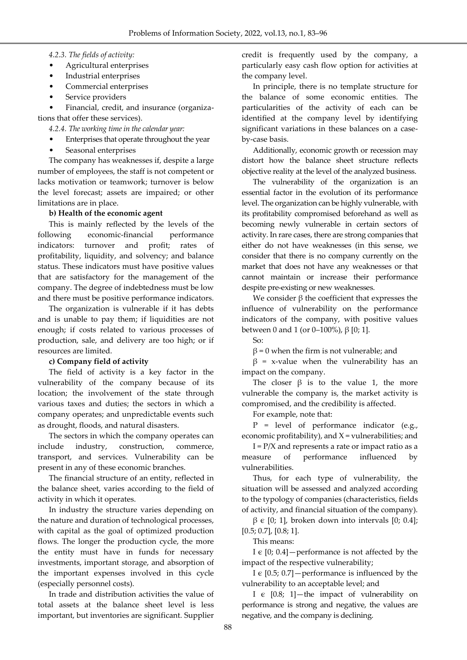## *4.2.3. The fields of activity:*

- Agricultural enterprises
- Industrial enterprises
- Commercial enterprises
- Service providers

• Financial, credit, and insurance (organizations that offer these services).

*4.2.4. The working time in the calendar year:*

- Enterprises that operate throughout the year
- Seasonal enterprises

The company has weaknesses if, despite a large number of employees, the staff is not competent or lacks motivation or teamwork; turnover is below the level forecast; assets are impaired; or other limitations are in place.

# **b) Health of the economic agent**

This is mainly reflected by the levels of the following economic-financial performance indicators: turnover and profit; rates of profitability, liquidity, and solvency; and balance status. These indicators must have positive values that are satisfactory for the management of the company. The degree of indebtedness must be low and there must be positive performance indicators.

The organization is vulnerable if it has debts and is unable to pay them; if liquidities are not enough; if costs related to various processes of production, sale, and delivery are too high; or if resources are limited.

# **c) Company field of activity**

The field of activity is a key factor in the vulnerability of the company because of its location; the involvement of the state through various taxes and duties; the sectors in which a company operates; and unpredictable events such as drought, floods, and natural disasters.

The sectors in which the company operates can include industry, construction, commerce, transport, and services. Vulnerability can be present in any of these economic branches.

The financial structure of an entity, reflected in the balance sheet, varies according to the field of activity in which it operates.

In industry the structure varies depending on the nature and duration of technological processes, with capital as the goal of optimized production flows. The longer the production cycle, the more the entity must have in funds for necessary investments, important storage, and absorption of the important expenses involved in this cycle (especially personnel costs).

In trade and distribution activities the value of total assets at the balance sheet level is less important, but inventories are significant. Supplier credit is frequently used by the company, a particularly easy cash flow option for activities at the company level.

In principle, there is no template structure for the balance of some economic entities. The particularities of the activity of each can be identified at the company level by identifying significant variations in these balances on a caseby-case basis.

Additionally, economic growth or recession may distort how the balance sheet structure reflects objective reality at the level of the analyzed business.

The vulnerability of the organization is an essential factor in the evolution of its performance level. The organization can be highly vulnerable, with its profitability compromised beforehand as well as becoming newly vulnerable in certain sectors of activity. In rare cases, there are strong companies that either do not have weaknesses (in this sense, we consider that there is no company currently on the market that does not have any weaknesses or that cannot maintain or increase their performance despite pre-existing or new weaknesses.

We consider  $β$  the coefficient that expresses the influence of vulnerability on the performance indicators of the company, with positive values between 0 and 1 (or 0–100%), β [0; 1].

So:

 $\beta$  = 0 when the firm is not vulnerable; and

 $β = x-value$  when the vulnerability has an impact on the company.

The closer  $\beta$  is to the value 1, the more vulnerable the company is, the market activity is compromised, and the credibility is affected.

For example, note that:

P = level of performance indicator (e.g., economic profitability), and  $X =$  vulnerabilities; and

 $I = P/X$  and represents a rate or impact ratio as a measure of performance influenced by vulnerabilities.

Thus, for each type of vulnerability, the situation will be assessed and analyzed according to the typology of companies (characteristics, fields of activity, and financial situation of the company).

 $β ∈ [0; 1]$ , broken down into intervals [0; 0.4]; [0.5; 0.7], [0.8; 1].

This means:

I  $\epsilon$  [0; 0.4] – performance is not affected by the impact of the respective vulnerability;

I  $\epsilon$  [0.5; 0.7] – performance is influenced by the vulnerability to an acceptable level; and

I  $\epsilon$  [0.8; 1]—the impact of vulnerability on performance is strong and negative, the values are negative, and the company is declining.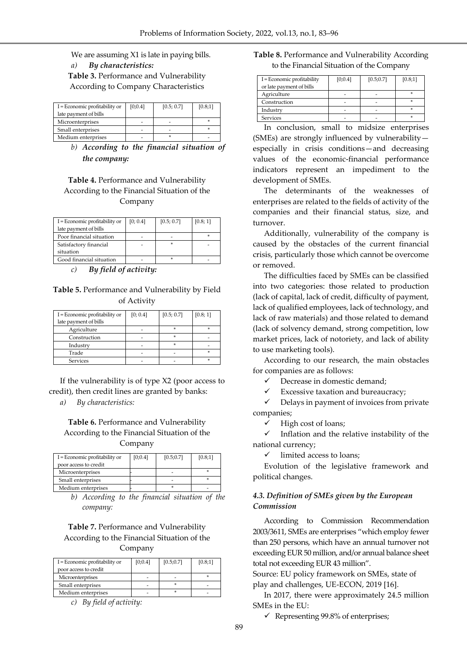We are assuming X1 is late in paying bills. *a) By characteristics:* **Table 3.** Performance and Vulnerability According to Company Characteristics

| I = Economic profitability or<br>late payment of bills | [0:0.4] | [0.5; 0.7] | [0.8;1] |
|--------------------------------------------------------|---------|------------|---------|
| Microenterprises                                       |         |            |         |
| Small enterprises                                      |         |            |         |
| Medium enterprises                                     |         |            |         |

*b) According to the financial situation of the company:*

## **Table 4.** Performance and Vulnerability According to the Financial Situation of the Company

| I = Economic profitability or | [0; 0.4] | [0.5; 0.7] | [0.8; 1] |
|-------------------------------|----------|------------|----------|
| late payment of bills         |          |            |          |
| Poor financial situation      |          |            |          |
| Satisfactory financial        |          |            |          |
| situation                     |          |            |          |
| Good financial situation      |          |            |          |

*c) By field of activity:*

**Table 5.** Performance and Vulnerability by Field of Activity

| I = Economic profitability or | [0; 0.4] | [0.5; 0.7] | [0.8; 1] |
|-------------------------------|----------|------------|----------|
| late payment of bills         |          |            |          |
| Agriculture                   |          | ×          | st.      |
| Construction                  |          | ×          |          |
| Industry                      |          | ×          |          |
| Trade                         |          |            |          |
| Services                      |          |            |          |

If the vulnerability is of type X2 (poor access to credit), then credit lines are granted by banks:

*a) By characteristics:*

#### **Table 6.** Performance and Vulnerability According to the Financial Situation of the Company

| I = Economic profitability or<br>poor access to credit | [0;0.4] | [0.5; 0.7] | [0.8;1] |
|--------------------------------------------------------|---------|------------|---------|
| Microenterprises                                       |         |            |         |
| Small enterprises                                      |         |            |         |
| Medium enterprises                                     |         |            |         |

*b) According to the financial situation of the company:*

## **Table 7.** Performance and Vulnerability According to the Financial Situation of the Company

| I = Economic profitability or | [0;0.4] | [0.5; 0.7] | [0.8;1] |
|-------------------------------|---------|------------|---------|
| poor access to credit         |         |            |         |
| Microenterprises              |         |            |         |
| Small enterprises             |         |            |         |
| Medium enterprises            |         |            |         |

*c) By field of activity:*

## **Table 8.** Performance and Vulnerability According to the Financial Situation of the Company

| I = Economic profitability<br>or late payment of bills | [0;0.4] | [0.5; 0.7] | [0.8;1] |
|--------------------------------------------------------|---------|------------|---------|
| Agriculture                                            |         |            | s       |
| Construction                                           |         |            | s       |
| Industry                                               |         |            | s       |
| <b>Services</b>                                        |         |            | s       |

In conclusion, small to midsize enterprises (SMEs) are strongly influenced by vulnerability especially in crisis conditions—and decreasing values of the economic-financial performance indicators represent an impediment to the development of SMEs.

The determinants of the weaknesses of enterprises are related to the fields of activity of the companies and their financial status, size, and turnover.

Additionally, vulnerability of the company is caused by the obstacles of the current financial crisis, particularly those which cannot be overcome or removed.

The difficulties faced by SMEs can be classified into two categories: those related to production (lack of capital, lack of credit, difficulty of payment, lack of qualified employees, lack of technology, and lack of raw materials) and those related to demand (lack of solvency demand, strong competition, low market prices, lack of notoriety, and lack of ability to use marketing tools).

According to our research, the main obstacles for companies are as follows:

Decrease in domestic demand;

Excessive taxation and bureaucracy;

 $\checkmark$  Delays in payment of invoices from private companies;

High cost of loans;

 $\checkmark$  Inflation and the relative instability of the national currency;

 $\checkmark$  limited access to loans;

Evolution of the legislative framework and political changes.

#### *4.3. Definition of SMEs given by the European Commission*

According to Commission Recommendation 2003/3611, SMEs are enterprises "which employ fewer than 250 persons, which have an annual turnover not exceeding EUR 50 million, and/or annual balance sheet total not exceeding EUR 43 million".

Source: EU policy framework on SMEs, state of play and challenges, UE-ECON, 2019 [16].

In 2017, there were approximately 24.5 million SMEs in the EU:

 $\checkmark$  Representing 99.8% of enterprises;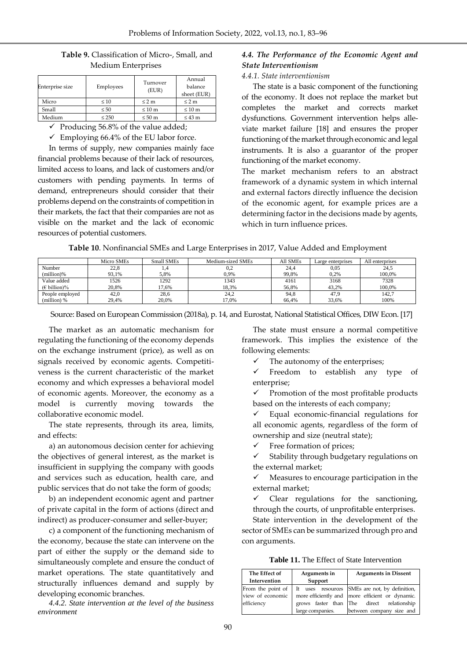| <b>Table 9.</b> Classification of Micro-, Small, and |  |
|------------------------------------------------------|--|
| Medium Enterprises                                   |  |

| Enterprise size<br>Employees |            | Turnover<br>(EUR) | Annual<br>balance<br>sheet (EUR) |
|------------------------------|------------|-------------------|----------------------------------|
| Micro                        | $\leq 10$  | $\leq 2$ m        | $\leq 2$ m                       |
| Small                        | $\leq 50$  | $\leq 10$ m       | $\leq 10$ m                      |
| Medium                       | $\leq 250$ | $\leq 50$ m       | $\leq 43$ m                      |

 $\checkmark$  Producing 56.8% of the value added;

 $\checkmark$  Employing 66.4% of the EU labor force.

In terms of supply, new companies mainly face financial problems because of their lack of resources, limited access to loans, and lack of customers and/or customers with pending payments. In terms of demand, entrepreneurs should consider that their problems depend on the constraints of competition in their markets, the fact that their companies are not as visible on the market and the lack of economic resources of potential customers.

## *4.4. The Performance of the Economic Agent and State Interventionism*

#### *4.4.1. State interventionism*

The state is a basic component of the functioning of the economy. It does not replace the market but completes the market and corrects market dysfunctions. Government intervention helps alleviate market failure [18] and ensures the proper functioning of the market through economic and legal instruments. It is also a guarantor of the proper functioning of the market economy.

The market mechanism refers to an abstract framework of a dynamic system in which internal and external factors directly influence the decision of the economic agent, for example prices are a determining factor in the decisions made by agents, which in turn influence prices.

|  | Table 10. Nonfinancial SMEs and Large Enterprises in 2017, Value Added and Employment |
|--|---------------------------------------------------------------------------------------|
|--|---------------------------------------------------------------------------------------|

|                         | Micro SMEs | Small SMEs | Medium-sized SMEs | All SMEs | Large enterprises | All enterprises |
|-------------------------|------------|------------|-------------------|----------|-------------------|-----------------|
| Number                  | 22,8       | 1.4        | 0,2               | 24,4     | 0.05              | 24,5            |
| (million)%              | 93.1%      | 5.8%       | 0.9%              | 99.8%    | 0.2%              | 100.0%          |
| Value added             | 1526       | 1292       | 1343              | 4161     | 3168              | 7328            |
| $(E \text{ billion})\%$ | 20.8%      | 17.6%      | 18.3%             | 56.8%    | 43.2%             | 100.0%          |
| People employed         | 42.0       | 28,6       | 24,2              | 94.8     | 47.9              | 142.7           |
| $(million)$ %           | 29.4%      | 20.0%      | 17.0%             | 66.4%    | 33.6%             | 100%            |

Source: Based on European Commission (2018a), p. 14, and Eurostat, National Statistical Offices, DIW Econ. [17]

The market as an automatic mechanism for regulating the functioning of the economy depends on the exchange instrument (price), as well as on signals received by economic agents. Competitiveness is the current characteristic of the market economy and which expresses a behavioral model of economic agents. Moreover, the economy as a model is currently moving towards the collaborative economic model.

The state represents, through its area, limits, and effects:

a) an autonomous decision center for achieving the objectives of general interest, as the market is insufficient in supplying the company with goods and services such as education, health care, and public services that do not take the form of goods;

b) an independent economic agent and partner of private capital in the form of actions (direct and indirect) as producer-consumer and seller-buyer;

c) a component of the functioning mechanism of the economy, because the state can intervene on the part of either the supply or the demand side to simultaneously complete and ensure the conduct of market operations. The state quantitatively and structurally influences demand and supply by developing economic branches.

*4.4.2. State intervention at the level of the business environment*

The state must ensure a normal competitive framework. This implies the existence of the following elements:

 $\checkmark$  The autonomy of the enterprises;

 $\checkmark$  Freedom to establish any type of enterprise;

 $\checkmark$  Promotion of the most profitable products based on the interests of each company;

 $\checkmark$  Equal economic-financial regulations for all economic agents, regardless of the form of ownership and size (neutral state);

 $\checkmark$  Free formation of prices;

 $\checkmark$  Stability through budgetary regulations on the external market;

 $\checkmark$  Measures to encourage participation in the external market;

 $\checkmark$  Clear regulations for the sanctioning, through the courts, of unprofitable enterprises.

State intervention in the development of the sector of SMEs can be summarized through pro and con arguments.

**Table 11.** The Effect of State Intervention

| The Effect of<br>Intervention | Arguments in<br>Support | <b>Arguments in Dissent</b>                     |
|-------------------------------|-------------------------|-------------------------------------------------|
| From the point of             | It uses resources       | SMEs are not, by definition,                    |
| view of economic              |                         | more efficiently and more efficient or dynamic. |
| efficiency                    |                         | grows faster than The direct relationship       |
|                               | large companies.        | between company size and                        |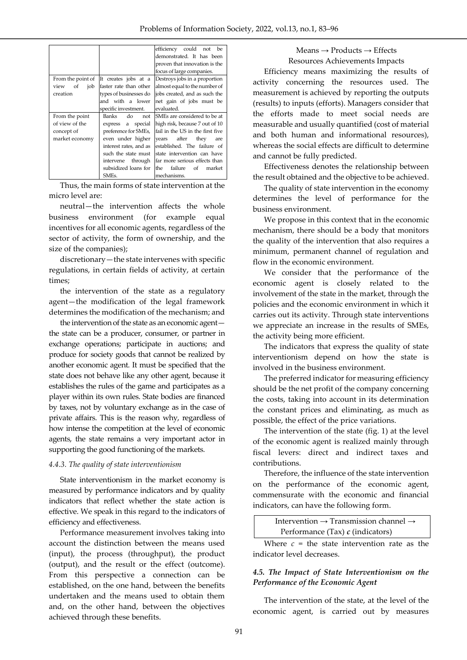|                   |                           | efficiency<br>could not<br>be    |  |  |
|-------------------|---------------------------|----------------------------------|--|--|
|                   |                           | demonstrated. It has been        |  |  |
|                   |                           | proven that innovation is the    |  |  |
|                   |                           | focus of large companies.        |  |  |
| From the point of | It creates jobs at a      | Destroys jobs in a proportion    |  |  |
| view<br>οf<br>job | faster rate than other    | almost equal to the number of    |  |  |
| creation          | types of businesses do    | jobs created, and as such the    |  |  |
|                   | and with a lower          | net gain of jobs must be         |  |  |
|                   | specific investment.      | evaluated.                       |  |  |
| From the point    | <b>Banks</b><br>do<br>not | SMEs are considered to be at     |  |  |
| of view of the    | a special<br>express      | high risk, because 7 out of 10   |  |  |
| concept of        | preference for SMEs,      | fail in the US in the first five |  |  |
| market economy    | even under higher         | after<br>they<br>vears<br>are    |  |  |
|                   | interest rates, and as    | established. The failure of      |  |  |
|                   | such the state must       | state intervention can have      |  |  |
|                   | through<br>intervene      | far more serious effects than    |  |  |
|                   | subsidized loans for      | the<br>failure<br>of<br>market   |  |  |
|                   | SME <sub>s</sub> .        | mechanisms.                      |  |  |

Thus, the main forms of state intervention at the micro level are:

neutral—the intervention affects the whole business environment (for example equal incentives for all economic agents, regardless of the sector of activity, the form of ownership, and the size of the companies);

discretionary—the state intervenes with specific regulations, in certain fields of activity, at certain times;

the intervention of the state as a regulatory agent—the modification of the legal framework determines the modification of the mechanism; and

the intervention of the state as an economic agent the state can be a producer, consumer, or partner in exchange operations; participate in auctions; and produce for society goods that cannot be realized by another economic agent. It must be specified that the state does not behave like any other agent, because it establishes the rules of the game and participates as a player within its own rules. State bodies are financed by taxes, not by voluntary exchange as in the case of private affairs. This is the reason why, regardless of how intense the competition at the level of economic agents, the state remains a very important actor in supporting the good functioning of the markets.

#### *4.4.3. The quality of state interventionism*

State interventionism in the market economy is measured by performance indicators and by quality indicators that reflect whether the state action is effective. We speak in this regard to the indicators of efficiency and effectiveness.

Performance measurement involves taking into account the distinction between the means used (input), the process (throughput), the product (output), and the result or the effect (outcome). From this perspective a connection can be established, on the one hand, between the benefits undertaken and the means used to obtain them and, on the other hand, between the objectives achieved through these benefits.

 $Means \rightarrow Products \rightarrow Effects$ Resources Achievements Impacts

Efficiency means maximizing the results of activity concerning the resources used. The measurement is achieved by reporting the outputs (results) to inputs (efforts). Managers consider that the efforts made to meet social needs are measurable and usually quantified (cost of material and both human and informational resources), whereas the social effects are difficult to determine and cannot be fully predicted.

Effectiveness denotes the relationship between the result obtained and the objective to be achieved.

The quality of state intervention in the economy determines the level of performance for the business environment.

We propose in this context that in the economic mechanism, there should be a body that monitors the quality of the intervention that also requires a minimum, permanent channel of regulation and flow in the economic environment.

We consider that the performance of the economic agent is closely related to the involvement of the state in the market, through the policies and the economic environment in which it carries out its activity. Through state interventions we appreciate an increase in the results of SMEs, the activity being more efficient.

The indicators that express the quality of state interventionism depend on how the state is involved in the business environment.

The preferred indicator for measuring efficiency should be the net profit of the company concerning the costs, taking into account in its determination the constant prices and eliminating, as much as possible, the effect of the price variations.

The intervention of the state (fig. 1) at the level of the economic agent is realized mainly through fiscal levers: direct and indirect taxes and contributions.

Therefore, the influence of the state intervention on the performance of the economic agent, commensurate with the economic and financial indicators, can have the following form.

Intervention → Transmission channel → Performance (Tax) *c* (indicators)

Where  $c =$  the state intervention rate as the indicator level decreases.

#### *4.5. The Impact of State Interventionism on the Performance of the Economic Agent*

The intervention of the state, at the level of the economic agent, is carried out by measures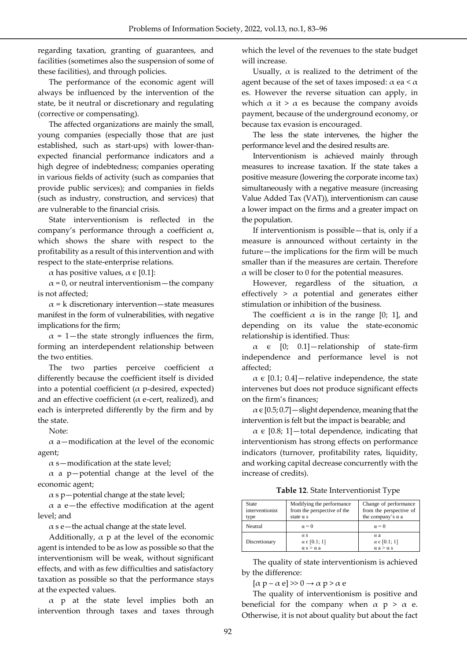regarding taxation, granting of guarantees, and facilities (sometimes also the suspension of some of these facilities), and through policies.

The performance of the economic agent will always be influenced by the intervention of the state, be it neutral or discretionary and regulating (corrective or compensating).

The affected organizations are mainly the small, young companies (especially those that are just established, such as start-ups) with lower-thanexpected financial performance indicators and a high degree of indebtedness; companies operating in various fields of activity (such as companies that provide public services); and companies in fields (such as industry, construction, and services) that are vulnerable to the financial crisis.

State interventionism is reflected in the company's performance through a coefficient  $\alpha$ , which shows the share with respect to the profitability as a result of this intervention and with respect to the state-enterprise relations.

α has positive values,  $\alpha \in [0.1]$ :

 $\alpha$  = 0, or neutral interventionism — the company is not affected;

 $\alpha$  = k discretionary intervention—state measures manifest in the form of vulnerabilities, with negative implications for the firm;

 $\alpha$  = 1-the state strongly influences the firm, forming an interdependent relationship between the two entities.

The two parties perceive coefficient  $\alpha$ differently because the coefficient itself is divided into a potential coefficient ( $\alpha$  p-desired, expected) and an effective coefficient ( $\alpha$  e-cert, realized), and each is interpreted differently by the firm and by the state.

Note:

 $\alpha$  a—modification at the level of the economic agent;

 $\alpha$  s-modification at the state level;

 $\alpha$  a p-potential change at the level of the economic agent;

 $\alpha$  s p — potential change at the state level;

 $\alpha$  a e—the effective modification at the agent level; and

 $\alpha$  s e — the actual change at the state level.

Additionally,  $\alpha$  p at the level of the economic agent is intended to be as low as possible so that the interventionism will be weak, without significant effects, and with as few difficulties and satisfactory taxation as possible so that the performance stays at the expected values.

 $\alpha$  p at the state level implies both an intervention through taxes and taxes through

which the level of the revenues to the state budget will increase.

Usually,  $\alpha$  is realized to the detriment of the agent because of the set of taxes imposed:  $\alpha$  ea <  $\alpha$ es. However the reverse situation can apply, in which  $\alpha$  it >  $\alpha$  es because the company avoids payment, because of the underground economy, or because tax evasion is encouraged.

The less the state intervenes, the higher the performance level and the desired results are.

Interventionism is achieved mainly through measures to increase taxation. If the state takes a positive measure (lowering the corporate income tax) simultaneously with a negative measure (increasing Value Added Tax (VAT)), interventionism can cause a lower impact on the firms and a greater impact on the population.

If interventionism is possible—that is, only if a measure is announced without certainty in the future—the implications for the firm will be much smaller than if the measures are certain. Therefore  $\alpha$  will be closer to 0 for the potential measures.

However, regardless of the situation,  $\alpha$ effectively  $>$   $\alpha$  potential and generates either stimulation or inhibition of the business.

The coefficient  $\alpha$  is in the range [0; 1], and depending on its value the state-economic relationship is identified. Thus:

 $\alpha$   $\epsilon$  [0; 0.1] - relationship of state-firm independence and performance level is not affected;

 $\alpha \in [0.1; 0.4]$  -relative independence, the state intervenes but does not produce significant effects on the firm's finances;

 $\alpha \in [0.5; 0.7]$  — slight dependence, meaning that the intervention is felt but the impact is bearable; and

 $\alpha \in [0.8; 1]$  -total dependence, indicating that interventionism has strong effects on performance indicators (turnover, profitability rates, liquidity, and working capital decrease concurrently with the increase of credits).

**Table 12**. State Interventionist Type

| State<br>interventionist<br>type | Modifying the performance<br>from the perspective of the<br>state $\alpha$ s | Change of performance<br>from the perspective of<br>the company's $\alpha$ a |
|----------------------------------|------------------------------------------------------------------------------|------------------------------------------------------------------------------|
| Neutral                          | $\alpha = 0$                                                                 | $\alpha = 0$                                                                 |
| Discretionary                    | $\alpha$ s<br>$\alpha \in [0.1; 1]$<br>$\alpha$ s > $\alpha$ a               | $\alpha$ a<br>$\alpha \in [0.1; 1]$<br>$\alpha$ a > $\alpha$ s               |

The quality of state interventionism is achieved by the difference:

 $[\alpha p - \alpha e] \gg 0 \rightarrow \alpha p > \alpha e$ 

The quality of interventionism is positive and beneficial for the company when  $\alpha$  p >  $\alpha$  e. Otherwise, it is not about quality but about the fact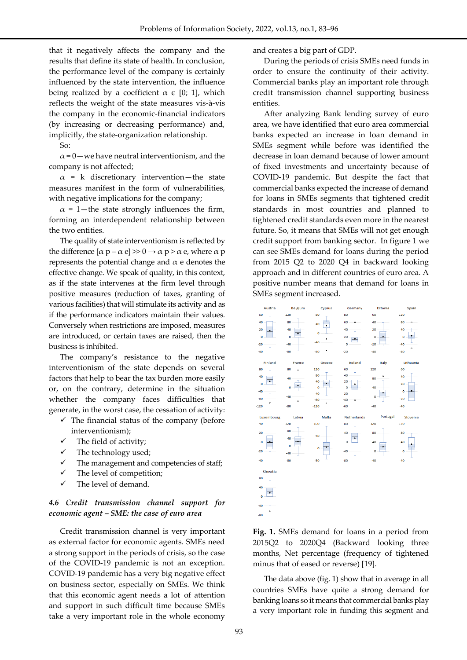that it negatively affects the company and the results that define its state of health. In conclusion, the performance level of the company is certainly influenced by the state intervention, the influence being realized by a coefficient  $\alpha \in [0, 1]$ , which reflects the weight of the state measures vis-à-vis the company in the economic-financial indicators (by increasing or decreasing performance) and, implicitly, the state-organization relationship.

So:

 $\alpha$  = 0 — we have neutral interventionism, and the company is not affected;

 $\alpha$  = k discretionary intervention—the state measures manifest in the form of vulnerabilities, with negative implications for the company;

 $\alpha$  = 1—the state strongly influences the firm, forming an interdependent relationship between the two entities.

The quality of state interventionism is reflected by the difference  $[α p - α e] \gg 0 \rightarrow α p > α e$ , where α p represents the potential change and  $\alpha$  e denotes the effective change. We speak of quality, in this context, as if the state intervenes at the firm level through positive measures (reduction of taxes, granting of various facilities) that will stimulate its activity and as if the performance indicators maintain their values. Conversely when restrictions are imposed, measures are introduced, or certain taxes are raised, then the business is inhibited.

The company's resistance to the negative interventionism of the state depends on several factors that help to bear the tax burden more easily or, on the contrary, determine in the situation whether the company faces difficulties that generate, in the worst case, the cessation of activity:

- $\checkmark$  The financial status of the company (before interventionism);
- $\checkmark$  The field of activity;
- $\checkmark$  The technology used;
- $\checkmark$  The management and competencies of staff;
- $\checkmark$  The level of competition;
- The level of demand.

#### *4.6 Credit transmission channel support for economic agent – SME: the case of euro area*

Credit transmission channel is very important as external factor for economic agents. SMEs need a strong support in the periods of crisis, so the case of the COVID-19 pandemic is not an exception. COVID-19 pandemic has a very big negative effect on business sector, especially on SMEs. We think that this economic agent needs a lot of attention and support in such difficult time because SMEs take a very important role in the whole economy

and creates a big part of GDP.

During the periods of crisis SMEs need funds in order to ensure the continuity of their activity. Commercial banks play an important role through credit transmission channel supporting business entities.

After analyzing Bank lending survey of euro area, we have identified that euro area commercial banks expected an increase in loan demand in SMEs segment while before was identified the decrease in loan demand because of lower amount of fixed investments and uncertainty because of COVID-19 pandemic. But despite the fact that commercial banks expected the increase of demand for loans in SMEs segments that tightened credit standards in most countries and planned to tightened credit standards even more in the nearest future. So, it means that SMEs will not get enough credit support from banking sector. In figure 1 we can see SMEs demand for loans during the period from 2015 Q2 to 2020 Q4 in backward looking approach and in different countries of euro area. A positive number means that demand for loans in SMEs segment increased.



**Fig. 1.** SMEs demand for loans in a period from 2015Q2 to 2020Q4 (Backward looking three months, Net percentage (frequency of tightened minus that of eased or reverse) [19].

The data above (fig. 1) show that in average in all countries SMEs have quite a strong demand for banking loans so it means that commercial banks play a very important role in funding this segment and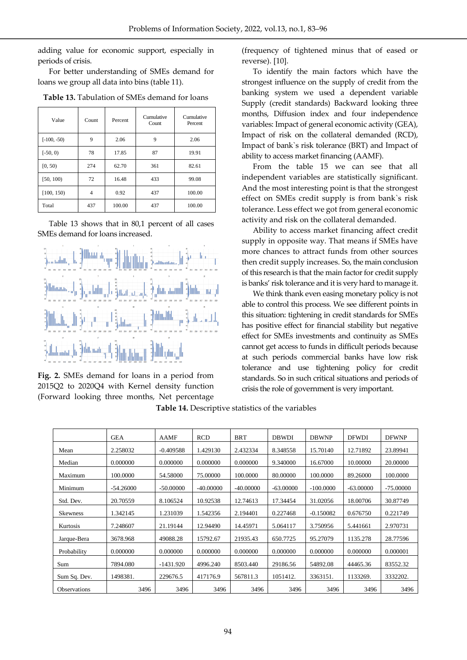adding value for economic support, especially in periods of crisis.

For better understanding of SMEs demand for loans we group all data into bins (table 11).

| Value         | Count | Percent | Cumulative<br>Count | Cumulative<br>Percent |  |
|---------------|-------|---------|---------------------|-----------------------|--|
| $[-100, -50)$ | 9     | 2.06    | 9                   | 2.06                  |  |
| $[-50, 0)$    | 78    | 17.85   | 87                  | 19.91                 |  |
| [0, 50)       | 274   | 62.70   | 361                 | 82.61                 |  |
| [50, 100)     | 72    | 16.48   | 433                 | 99.08                 |  |
| [100, 150)    | 4     | 0.92    | 437                 | 100.00                |  |
| Total         | 437   | 100.00  | 437                 | 100.00                |  |

**Table 13.** Tabulation of SMEs demand for loans

Table 13 shows that in 80,1 percent of all cases SMEs demand for loans increased.



**Fig. 2.** SMEs demand for loans in a period from 2015Q2 to 2020Q4 with Kernel density function (Forward looking three months, Net percentage

(frequency of tightened minus that of eased or reverse). [10].

To identify the main factors which have the strongest influence on the supply of credit from the banking system we used a dependent variable Supply (credit standards) Backward looking three months, Diffusion index and four independence variables: Impact of general economic activity (GEA), Impact of risk on the collateral demanded (RCD), Impact of bank`s risk tolerance (BRT) and Impact of ability to access market financing (AAMF).

From the table 15 we can see that all independent variables are statistically significant. And the most interesting point is that the strongest effect on SMEs credit supply is from bank`s risk tolerance. Less effect we got from general economic activity and risk on the collateral demanded.

Ability to access market financing affect credit supply in opposite way. That means if SMEs have more chances to attract funds from other sources then credit supply increases. So, the main conclusion of this research is that the main factor for credit supply is banks' risk tolerance and it is very hard to manage it.

We think thank even easing monetary policy is not able to control this process. We see different points in this situation: tightening in credit standards for SMEs has positive effect for financial stability but negative effect for SMEs investments and continuity as SMEs cannot get access to funds in difficult periods because at such periods commercial banks have low risk tolerance and use tightening policy for credit standards. So in such critical situations and periods of crisis the role of government is very important.

**Table 14.** Descriptive statistics of the variables

|                     | <b>GEA</b>  | <b>AAMF</b> | <b>RCD</b>  | <b>BRT</b>  | <b>DBWDI</b> | <b>DBWNP</b> | <b>DFWDI</b> | <b>DFWNP</b> |
|---------------------|-------------|-------------|-------------|-------------|--------------|--------------|--------------|--------------|
| Mean                | 2.258032    | $-0.409588$ | 1.429130    | 2.432334    | 8.348558     | 15.70140     | 12.71892     | 23.89941     |
| Median              | 0.000000    | 0.000000    | 0.000000    | 0.000000    | 9.340000     | 16.67000     | 10.00000     | 20.00000     |
| Maximum             | 100.0000    | 54.58000    | 75,00000    | 100,0000    | 80,00000     | 100.0000     | 89.26000     | 100.0000     |
| Minimum             | $-54.26000$ | $-50.00000$ | $-40,00000$ | $-40.00000$ | $-63,00000$  | $-100.0000$  | $-63,00000$  | $-75.00000$  |
| Std. Dev.           | 20.70559    | 8.106524    | 10.92538    | 12.74613    | 17.34454     | 31.02056     | 18.00706     | 30.87749     |
| <b>Skewness</b>     | 1.342145    | 1.231039    | 1.542356    | 2.194401    | 0.227468     | $-0.150082$  | 0.676750     | 0.221749     |
| Kurtosis            | 7.248607    | 21.19144    | 12.94490    | 14.45971    | 5.064117     | 3.750956     | 5.441661     | 2.970731     |
| Jarque-Bera         | 3678.968    | 49088.28    | 15792.67    | 21935.43    | 650.7725     | 95.27079     | 1135.278     | 28.77596     |
| Probability         | 0.000000    | 0.000000    | 0.000000    | 0.000000    | 0.000000     | 0.000000     | 0.000000     | 0.000001     |
| Sum                 | 7894.080    | $-1431.920$ | 4996.240    | 8503.440    | 29186.56     | 54892.08     | 44465.36     | 83552.32     |
| Sum Sq. Dev.        | 1498381.    | 229676.5    | 417176.9    | 567811.3    | 1051412.     | 3363151.     | 1133269.     | 3332202.     |
| <b>Observations</b> | 3496        | 3496        | 3496        | 3496        | 3496         | 3496         | 3496         | 3496         |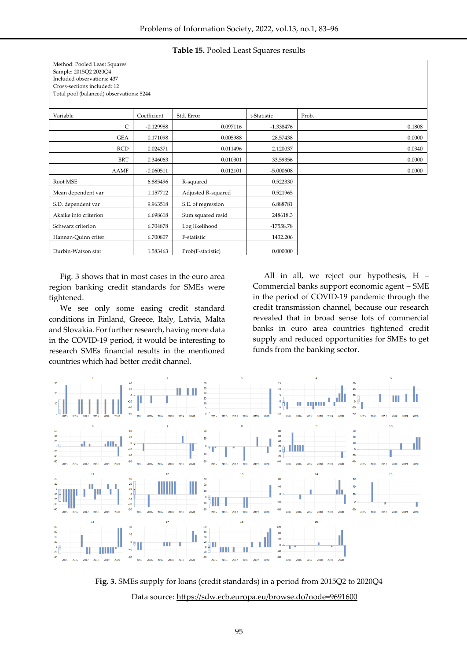| Method: Pooled Least Squares             |             |                    |             |        |
|------------------------------------------|-------------|--------------------|-------------|--------|
| Sample: 2015Q2 2020Q4                    |             |                    |             |        |
| Included observations: 437               |             |                    |             |        |
| Cross-sections included: 12              |             |                    |             |        |
| Total pool (balanced) observations: 5244 |             |                    |             |        |
|                                          |             |                    |             |        |
| Variable                                 | Coefficient | Std. Error         | t-Statistic | Prob.  |
| C                                        | $-0.129988$ | 0.097116           | $-1.338476$ | 0.1808 |
| GEA                                      | 0.171098    | 0.005988           | 28.57438    | 0.0000 |
| <b>RCD</b>                               | 0.024371    | 0.011496           | 2.120037    | 0.0340 |
| <b>BRT</b>                               | 0.346063    | 0.010301           | 33.59356    | 0.0000 |
| <b>AAMF</b>                              | $-0.060511$ | 0.012101           | $-5.000608$ | 0.0000 |
| Root MSE                                 | 6.885496    | R-squared          | 0.522330    |        |
| Mean dependent var                       | 1.157712    | Adjusted R-squared | 0.521965    |        |
| S.D. dependent var                       | 9.963518    | S.E. of regression | 6.888781    |        |
| Akaike info criterion                    | 6.698618    | Sum squared resid  | 248618.3    |        |
| Schwarz criterion                        | 6.704878    | Log likelihood     | $-17558.78$ |        |
| Hannan-Quinn criter.                     | 6.700807    | F-statistic        | 1432.206    |        |
| Durbin-Watson stat                       | 1.583463    | Prob(F-statistic)  | 0.000000    |        |

**Table 15.** Pooled Least Squares results

Fig. 3 shows that in most cases in the euro area region banking credit standards for SMEs were tightened.

We see only some easing credit standard conditions in Finland, Greece, Italy, Latvia, Malta and Slovakia. For further research, having more data in the COVID-19 period, it would be interesting to research SMEs financial results in the mentioned countries which had better credit channel.

All in all, we reject our hypothesis, H – Commercial banks support economic agent – SME in the period of COVID-19 pandemic through the credit transmission channel, because our research revealed that in broad sense lots of commercial banks in euro area countries tightened credit supply and reduced opportunities for SMEs to get funds from the banking sector.



**Fig. 3**. SMEs supply for loans (credit standards) in a period from 2015Q2 to 2020Q4 Data source:<https://sdw.ecb.europa.eu/browse.do?node=9691600>